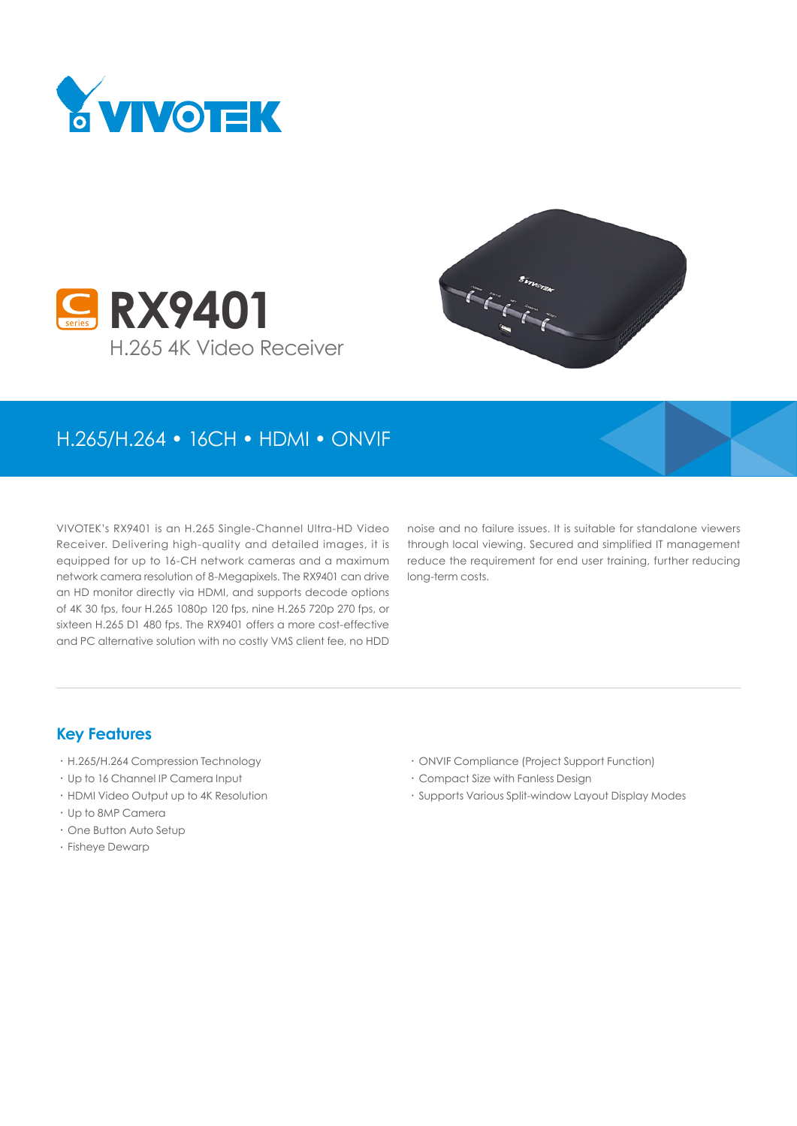





## H.265/H.264 • 16CH • HDMI • ONVIF

VIVOTEK's RX9401 is an H.265 Single-Channel Ultra-HD Video Receiver. Delivering high-quality and detailed images, it is equipped for up to 16-CH network cameras and a maximum network camera resolution of 8-Megapixels. The RX9401 can drive an HD monitor directly via HDMI, and supports decode options of 4K 30 fps, four H.265 1080p 120 fps, nine H.265 720p 270 fps, or sixteen H.265 D1 480 fps. The RX9401 offers a more cost-effective and PC alternative solution with no costly VMS client fee, no HDD

noise and no failure issues. It is suitable for standalone viewers through local viewing. Secured and simplified IT management reduce the requirement for end user training, further reducing long-term costs.

#### **Key Features**

- • H.265/H.264 Compression Technology
- • Up to 16 Channel IP Camera Input
- • HDMI Video Output up to 4K Resolution
- • Up to 8MP Camera
- • One Button Auto Setup
- • Fisheye Dewarp
- • ONVIF Compliance (Project Support Function)
- • Compact Size with Fanless Design
- • Supports Various Split-window Layout Display Modes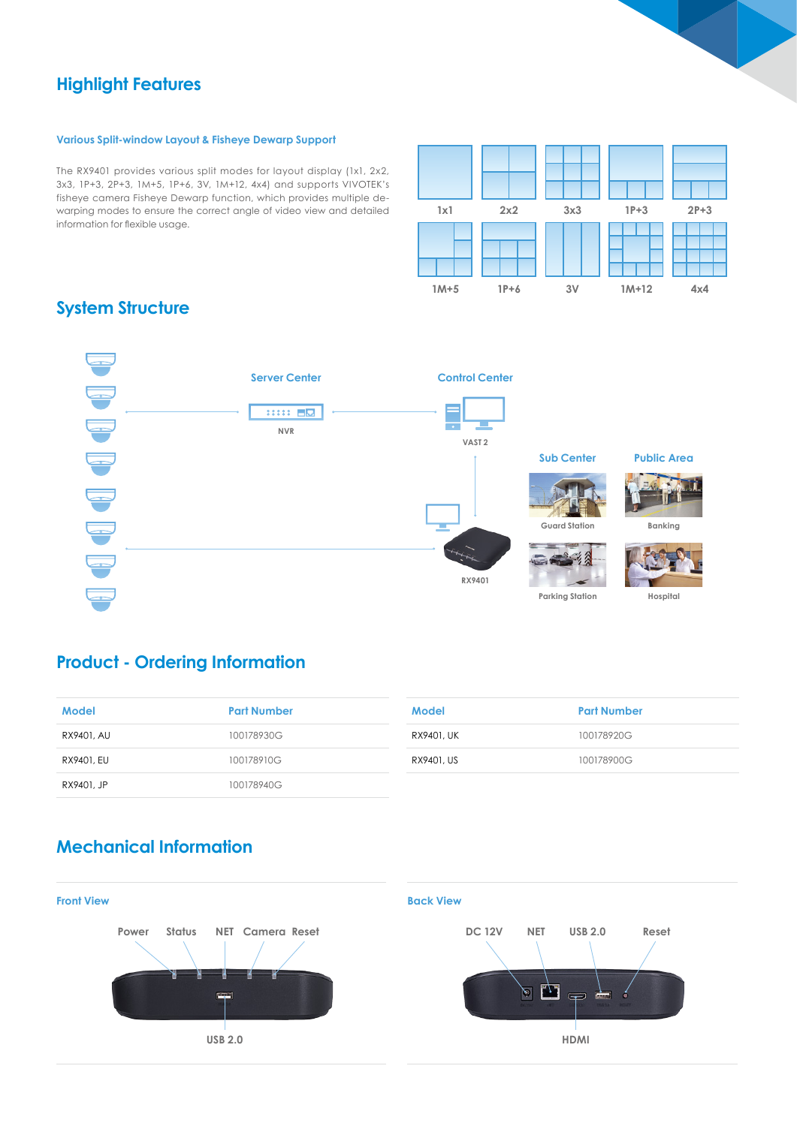## **Highlight Features**

#### **Various Split-window Layout & Fisheye Dewarp Support**

The RX9401 provides various split modes for layout display (1x1, 2x2, 3x3, 1P+3, 2P+3, 1M+5, 1P+6, 3V, 1M+12, 4x4) and supports VIVOTEK's fisheye camera Fisheye Dewarp function, which provides multiple dewarping modes to ensure the correct angle of video view and detailed information for flexible usage.



## **System Structure**



## **Product - Ordering Information**

| Model      | <b>Part Number</b> |
|------------|--------------------|
| RX9401, AU | 100178930G         |
| RX9401, EU | 100178910G         |
| RX9401, JP | 100178940G         |

| <b>Model</b> | <b>Part Number</b> |
|--------------|--------------------|
| RX9401, UK   | 100178920G         |
| RX9401, US   | 100178900G         |

## **Mechanical Information**

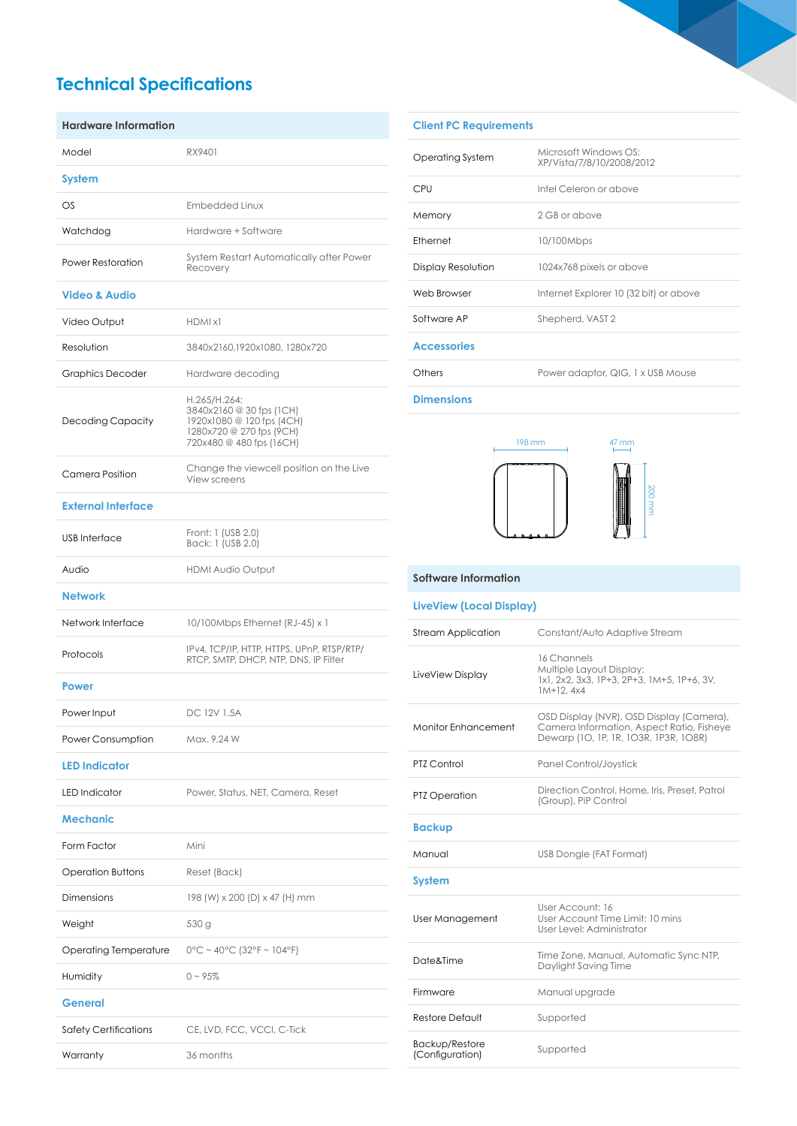# **Technical Specifications**

| <b>Hardware Information</b> |                                                                                                                               |
|-----------------------------|-------------------------------------------------------------------------------------------------------------------------------|
| Model                       | RX9401                                                                                                                        |
| System                      |                                                                                                                               |
| $\circ$ s                   | Embedded Linux                                                                                                                |
| Watchdog                    | Hardware + Software                                                                                                           |
| <b>Power Restoration</b>    | System Restart Automatically after Power<br>Recovery                                                                          |
| <b>Video &amp; Audio</b>    |                                                                                                                               |
| Video Output                | HDMI x1                                                                                                                       |
| Resolution                  | 3840x2160,1920x1080, 1280x720                                                                                                 |
| <b>Graphics Decoder</b>     | Hardware decoding                                                                                                             |
| Decoding Capacity           | H.265/H.264:<br>3840x2160 @ 30 fps (1CH)<br>1920x1080 @ 120 fps (4CH)<br>1280x720 @ 270 fps (9CH)<br>720x480 @ 480 fps (16CH) |
| Camera Position             | Change the viewcell position on the Live<br>View screens                                                                      |
| <b>External Interface</b>   |                                                                                                                               |
| <b>USB</b> Interface        | Front: 1 (USB 2.0)<br>Back: 1 (USB 2.0)                                                                                       |
| Audio                       | <b>HDMI Audio Output</b>                                                                                                      |
| <b>Network</b>              |                                                                                                                               |
| Network Interface           | 10/100Mbps Ethernet (RJ-45) x 1                                                                                               |
| Protocols                   | IPv4, TCP/IP, HTTP, HTTPS, UPnP, RTSP/RTP/<br>RTCP, SMTP, DHCP, NTP, DNS, IP Filter                                           |
| <b>Power</b>                |                                                                                                                               |
| Power Input                 | DC 12V 1.5A                                                                                                                   |
| Power Consumption           | Max. 9.24 W                                                                                                                   |
| <b>LED Indicator</b>        |                                                                                                                               |
| <b>LED</b> Indicator        | Power, Status, NET, Camera, Reset                                                                                             |
| <b>Mechanic</b>             |                                                                                                                               |
| Form Factor                 | Mini                                                                                                                          |
| Operation Buttons           | Reset (Back)                                                                                                                  |
| <b>Dimensions</b>           | 198 (W) x 200 (D) x 47 (H) mm                                                                                                 |
| Weight                      | 530 g                                                                                                                         |
| Operating Temperature       | $0^{\circ}$ C ~ 40°C (32°F ~ 104°F)                                                                                           |
| Humidity                    | $0 - 95%$                                                                                                                     |
| General                     |                                                                                                                               |
| Safety Certifications       | CE, LVD, FCC, VCCI, C-Tick                                                                                                    |
| Warranty                    | 36 months                                                                                                                     |

| <b>Client PC Requirements</b> |                                                    |
|-------------------------------|----------------------------------------------------|
| Operating System              | Microsoft Windows OS.<br>XP/Vista/7/8/10/2008/2012 |
| CPU                           | Intel Celeron or above                             |
| Memory                        | 2 GB or above                                      |
| Ethernet                      | 10/100Mbps                                         |
| Display Resolution            | 1024x768 pixels or above                           |
| Web Browser                   | Internet Explorer 10 (32 bit) or above             |
| Software AP                   | Shepherd, VAST 2                                   |
| <b>Accessories</b>            |                                                    |
| Others                        | Power adaptor, QIG, 1 x USB Mouse                  |
|                               |                                                    |

**Dimensions**



# 200 mm

#### **Software Information**

#### **LiveView (Local Display)**

| <b>Stream Application</b>  | Constant/Auto Adaptive Stream                                                                                                  |
|----------------------------|--------------------------------------------------------------------------------------------------------------------------------|
| LiveView Display           | 16 Channels<br>Multiple Layout Display:<br>1x1, 2x2, 3x3, 1P+3, 2P+3, 1M+5, 1P+6, 3V,<br>$1M+12.4x4$                           |
| <b>Monitor Enhancement</b> | OSD Display (NVR), OSD Display (Camera),<br>Camera Information, Aspect Ratio, Fisheye<br>Dewarp (10, 1P, 1R, 103R, 1P3R, 108R) |
| PTZ Control                | Panel Control/Joystick                                                                                                         |
| <b>PTZ Operation</b>       | Direction Control, Home, Iris, Preset, Patrol<br>(Group), PiP Control                                                          |
| <b>Backup</b>              |                                                                                                                                |
|                            |                                                                                                                                |
| Manual                     | USB Dongle (FAT Format)                                                                                                        |
| <b>System</b>              |                                                                                                                                |
| User Management            | User Account: 16<br>User Account Time Limit: 10 mins<br>User Level: Administrator                                              |
| <b>Date&amp;Time</b>       | Time Zone, Manual, Automatic Sync NTP,<br>Daylight Saving Time                                                                 |
| Firmware                   | Manual upgrade                                                                                                                 |
| Restore Default            | Supported                                                                                                                      |